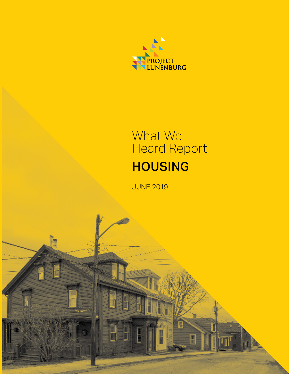

# HOUSING What We Heard Report

Н

JUNE 2019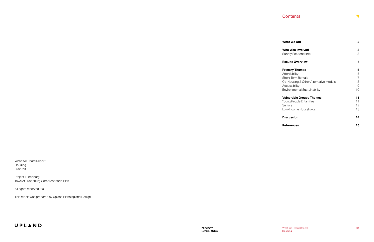| <b>What We Did</b>                                                                                                                                            | 2                           |
|---------------------------------------------------------------------------------------------------------------------------------------------------------------|-----------------------------|
| Who Was Involved<br>Survey Respondents                                                                                                                        | З<br>3                      |
| <b>Results Overview</b>                                                                                                                                       | 4                           |
| <b>Primary Themes</b><br>Affordability<br><b>Short-Term Rentals</b><br>Co-Housing & Other Alternative Models<br>Accessibility<br>Environmental Sustainability | 5<br>5<br>7<br>8<br>9<br>10 |
| <b>Vulnerable Groups Themes</b><br>Young People & Families<br>Seniors<br>Low-Income Households                                                                | 11<br>11<br>12<br>13        |
| <b>Discussion</b>                                                                                                                                             | 14                          |
| <b>References</b>                                                                                                                                             | 15                          |

What We Heard Report Housing June 2019

Project Lunenburg Town of Lunenburg Comprehensive Plan

All rights reserved, 2019.

This report was prepared by Upland Planning and Design.

## UPLAND

### **Contents**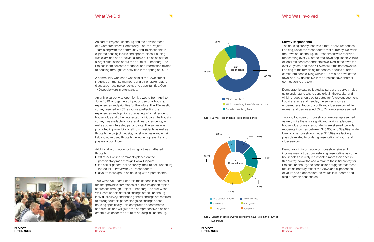<span id="page-2-0"></span>As part of Project Lunenburg and the development of a Comprehensive Community Plan, the Project Team along with the community and its stakeholders explored housing issues and opportunities. Housing was examined as an individual topic but also as part of a larger discussion about the future of Lunenburg. The Project Team collected feedback and information related to housing through five activities in the spring of 2019.

A community workshop was held at the Town firehall in April. Community members and other stakeholders discussed housing concerns and opportunities. Over 140 people were in attendance.

An online survey was open for five weeks from April to June 2019, and gathered input on personal housing experiences and priorities for the future. The 15-question survey resulted in 255 responses, reflecting the experiences and opinions of a variety of local resident households and other interested individuals. The housing survey was available to local and nearby residents, as well as other interested participants. The survey was promoted in power bills to all Town residents as well as through the project website, Facebook page and email list, and advertised through the workshop event and on posters around town.

Additional information for this report was gathered through:

- ▶ 30 of 271 online comments placed on the participatory map through Social Pinpoint
- ▶ (an earlier general online survey (the Project Lunenburg Individual Survey) with 262 respondents
- ▶ a youth focus group on housing with 4 participants

This What We Heard Report is the second in a series of ten that provides summaries of public insight on topics addressed through Project Lunenburg. The first What We Heard Report detailed findings of the Lunenburg individual survey, and those general findings are referred to throughout this paper alongside findings about housing specifically. This compilation of comments and discussions will guide the comprehensive plan and create a vision for the future of housing in Lunenburg.



The housing survey received a total of 255 responses. Looking just at the respondents that currently live within the Town of Lunenburg, 167 responses were recieved, repesenting over 7% of the total town population. A third of local resident respondents have lived in the town for over 20 years, and over 74% are full-time homeowners. Looking at the remaining responses, about a quarter came from people living within a 10-minute drive of the town, and 9% do not live in the area but have another connection to the town.

Demographic data collected as part of the survey helps us to understand where gaps exist in the results, and which groups should be targeted for future engagement. Looking at age and gender, the survey shows an underrepresentation of youth and older seniors, while women and people aged 55 to 74 are overrepresented.

Two and four-person households are overrepresented as well, while there is a significant gap in single-person households. Survey respondents are skewed towards moderate incomes between \$45,000 and \$89,999, while low-income households under \$24,999 are lacking, possibly related to underrepresentation of youth and older seniors.

Demographic information on household size and income may not be completely representative, as some households are likely represented more than once in this survey. Nevertheless, similar to the initial survey for Project Lunenburg, the conclusions suggest that these results do not fully reflect the views and experiences of youth and older seniors, as well as low-income and single-person households.



Figure 2: Length of time survey respondents have lived in the Town of Lunenburg







**PROJECT LUNENBURG**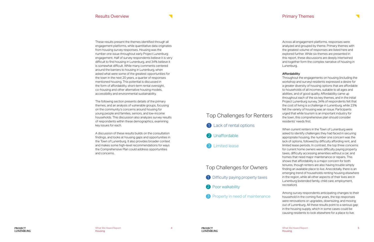These results present the themes identified through all engagement platforms, while quantitative data originates from housing survey responses. Housing was the number one issue throughout early Project Lunenburg engagement. Half of survey respondents believe it is very difficult to find housing in Lunenburg, and 34% believe it is somewhat difficult. While many comments centered around the barriers to housing in Lunenburg, when asked what were some of the greatest opportunities for the town in the next 20 years, a quarter of responses mentioned housing. This potential is discussed in the form of affordability, short-term rental oversight, co-housing and other alternative housing models, accessibility and environmental sustainability.

The following section presents details of the primary themes, and an analysis of vulnerable groups, focusing on the community's concerns around housing for young people and families, seniors, and low-income households. This discussion also analyzes survey results of respondents within these demographics, examining key issues for each.

A discussion of these results builds on the consultation findings, and looks at housing gaps and opportunities in the Town of Lunenburg. It also provides broader context and makes some high-level recommendations for ways the Comprehensive Plan could address opportunities and concerns.

Across all engagement platforms, responses were analyzed and grouped by theme. Primary themes with the greatest volume of responses are listed here and explored further. While six themes are presented in this report, these discussions are deeply intertwined and together form the complex narrative of housing in Lunenburg.

#### Affordability

Throughout the engagements on housing (including the workshop and survey) residents expressed a desire for a greater diversity of housing options that are affordable to households of all incomes, suitable to all ages and abilities, and of good quality. Affordability came up throughout each of the six key themes, and in the initial Project Lunenburg survey, 34% of respondents felt that the cost of living is a challenge in Lunenburg, while 23% felt the variety of housing was an issue. Participants urged that while tourism is an important industry for the town, this comprehensive plan should consider residents' needs first.

When current renters in the Town of Lunenburg were asked to identify challenges they had faced in securing appropriate housing, the number one concern was the lack of options, followed by difficulty affording rent, and limited lease periods. In contrast, the top three concerns for current home owners were difficulty paying property taxes, difficulty accessing amenities without a car, and homes that need major maintenance or repairs. This shows that affordability is a major concern for both tenures, though renters are also having trouble simply finding an available place to live. Anecdotally, there is an emerging trend of households renting housing elsewhere in the region, while all other aspects of their lives are in Lunenburg (extended family, child care, employment, recreation).

Among survey respondents anticipating changes to their household in the coming five years, the top responses were renovations or upgrades, downsizing, and moving out of Lunenburg. All these results point to a serious gap in the housing supply, which in some cases could be causing residents to look elsewhere for a place to live.

 $\overline{\phantom{0}}$ 

### Top Challenges for Owners

- **D** Difficulty paying property taxes
- Poor walkability 2
- **3** Property in need of maintenance

## Top Challenges for Renters Top Challenges for Renters

- **1** Lack of rental options
- 2 Unaffordable
- 3 Limited lease

## <span id="page-3-0"></span>Results Overview **Results Overview** Primary Themes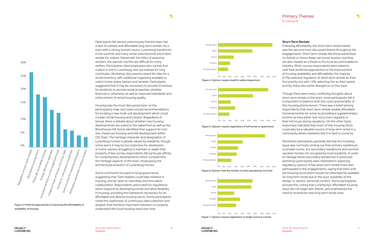Participants felt almost unanimously that the town has a lack of suitable and affordable long-term rentals. As a town with a strong tourism sector, Lunenburg transforms in the summer and many rental units become short-term rentals for visitors. Paired with the influx of seasonal workers, the warmer months are difficult for many renters. Participants cited employees who cannot find a place to live in Lunenburg, and opt instead for long commutes. Workshop discussions raised the idea for a rental inventory, with additional organizing available to match home-share owners and tenants. Participants suggested that it may be necessary to provide incentives for landlords to provide rental properties, whether financial or otherwise, as well as improved standards and enforcement of rental housing quality.

Housing was the most discussed topic on the participatory map, and users voiced recommendations for locating a new multi-unit development which could contain rental housing and condos. Regardless of tenure, there is debate about whether new housing developments are suited to the waterfront as well as the Blockhouse Hill. Some identified their support for midrise, mixed use housing and infill development within Old Town. The heritage character and designation of Lunenburg homes is greatly valued by residents, though some worry it may be too restrictive for developers or home owners struggling to maintain or adapt their property. A few survey respondents felt particular affinity for contemporary developments which complement the heritage aspects of the town, showcasing the architectural evolution of Lunenburg homes.

understand the local housing need over time. Some comments focused on local governance, suggesting that Town leaders could take initiative in housing, and be open to new ideas and innovative collaboration. Respondents advocated for regulations which respond to developing trends and allow flexibility in housing, providing the framework necessary for an affordable and diverse housing stock. Some participants noted the usefulness of continuous data collection and Figure 3: Preferred approaches to improving the affordability or analysis that monitors important indicators to properly

availability of housing



Figure 5: Opinion: require registration of full homes or apartments

<span id="page-4-0"></span>

#### Short-Term Rentals

Following affordability, the short-term rental market was the second most discussed theme throughout the engagements. Short-term rentals like those advertised on Airbnb or Home Away can boost tourism, but they are also viewed as a threat to the local accommodations industry. When survey respondents were asked to rank their preferred approaches to the improvement of housing availability and affordability, the majority (27%) selected regulation of short-term rentals as their first priority, but with 13% selecting this as their lowest priority, there was some divergence on this topic.

Though there were many conflicting thoughts about short-term rentals in the town, most participants felt it is important to balance both the costs and benefits of this housing phenomenon. There was a belief among respondents that short-term rentals enable affordable homeownership for some by providing a supplementary income as they either rent out a room regularly or their full house during vacations. On the other hand, responses indicated that much of this housing stock could also be a valuable source of long-term rental in a community where residents feel it is hard to come by.

Workshop participants generally felt that the troubling issue was not hosts renting out their primary residences or private rooms, but secondary residences and summer vacation homes not occupied by local residents. In order to manage these secondary residences in particular, workshop participants were interested in exploring regulatory options. A few short-term rental hosts also participated in the engagements, saying that their units are housing stock which would not otherwise be available for long term rental due to the poor suitability of the design or owners' personal comfort. Some participants echoed this, noting that Lunenburg's affordable housing issue did not begin with Airbnb, and emphasized the need to incentivize new long-term rental units.

### Primary Themes (Continued)







Figure 6: Opinion: limit the number of units operated by one host



Figure 7: Opinion: require registration of single rooms in a home

**PROJECT LUNENBURG**  Housing

 $\overline{\phantom{0}}$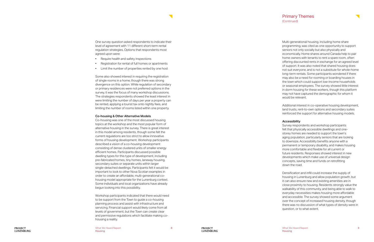<span id="page-5-0"></span>One survey question asked respondents to indicate their level of agreement with 11 different short-term rental regulation strategies. Options that respondents most agreed upon were:

- Require health and safety inspections
- Registration for rental of full homes or apartments
- Limit the number of properties rented by one host

Some also showed interest in requiring the registration of single rooms in a home, though there was strong divergence on this option. While regulation of secondary or primary residences were not preferred options in the survey, it was the focus of many workshop discussions. The strategies respondents showed the least interest in were limiting the number of days per year a property can be rented, applying a tourist tax onto nightly fees, and limiting the number of rooms listed within one property.

#### Co-housing & Other Alternative Models

Co-housing was one of the most discussed housing topics at the workshop and the most popular form of alternative housing in the survey. There is great interest in this model among residents, though some felt the current regulations are too strict to allow innovative forms of housing development. Workshop participants described a vision of a co-housing development consisting of dense clustered units of smaller energy efficient homes. Participants discussed possible dwelling types for this type of development, including pre-fabricated homes, tiny homes, laneway housing, secondary suites or separate units within larger single-detached dwellings. Participants felt it would be important to look to other Nova Scotian examples in order to create an affordable, multi-generational cohousing model appropriate for the Lunenburg context. Some individuals and local organizations have already begun looking into this possibility.

Workshop participants indicated that there would need to be support from the Town to guide a co-housing planning process and assist with infrastructure and servicing. Financial support would likely come from all levels of government, but the Town can create clear and permissive regulations which facilitate making cohousing a reality.

### Primary Themes (Continued)



Additional interest in co-operative housing development, land trusts, rent-to-own options and secondary suites reinforced the support for alternative housing models.

#### Accessibility

Survey respondents and workshop participants felt that physically accessible dwellings and onestorey homes are needed to support the town's aging population, particularly seniors that are looking to downsize. Accessibility benefits anyone with a permanent or temporary disability, and makes housing more comfortable and flexible for all current or future residents. Responses showed interest in new developments which make use of universal design concepts, saving time and funds on retrofitting down the road.

Densification and infill could increase the supply of housing in Lunenburg and allow population growth, but it can also ensure new and existing amenities are in close proximity to housing. Residents strongly value the walkability of this community, and being able to walk to everyday necessities makes housing more affordable and accessible. The survey showed some argument over the concept of increased housing density, though there was no discussion of what types of density were in question, or to what extent.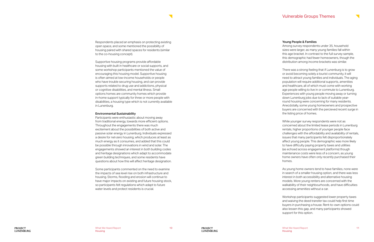<span id="page-6-0"></span>Respondents placed an emphasis on protecting existing open space, and some mentioned the possibility of housing paired with shared spaces for residents (similar to the co-housing concept).

Supportive housing programs provide affordable housing with built in healthcare or social supports, and some workshop participants mentioned the value of encouraging this housing model. Supportive housing is often aimed at low-income households or people who have trouble securing housing, and can provide supports related to drug use and addictions, physical or cognitive disabilities, and mental illness. Small options homes are community homes which provide in-home support typically for three or more people with disabilities, a housing type which is not currently available in Lunenburg.

#### Environmental Sustainability

Participants were enthusiastic about moving away from traditional energy, towards more efficient options. Throughout the engagements there was much excitement about the possibilities of both active and passive solar energy in Lunenburg. Individuals expressed a desire for net-zero housing, which produces at least as much energy as it consumes, and added that this could be possible through innovations in wind and solar. The engagements showed an interest in both building codes and heritage designations which adapt to accommodate green building techniques, and some residents have questions about how this will affect heritage designation.

Some participants commented on the need to examine the impacts of sea level rise on both infrastructure and housing. Storms, flooding and erosion will continue to have major impacts on existing and future housing stock, so participants felt regulations which adapt to future water levels and protect residents is crucial.

### Vulnerable Groups Themes

#### Young People & Families

Among survey respondents under 35, household sizes were larger, as many young families fall within this age bracket. In contrast to the full survey sample, this demographic had fewer homeowners, though the distribution among income brackets was similar.

There was a strong feeling that if Lunenburg is to grow or avoid becoming solely a tourist community, it will need to attract young families and individuals. The aging population will require additional supports, amenities and healthcare, all of which must come with working age people willing to live in or commute to Lunenburg. Experiences with young people moving away or turning down Lunenburg jobs due to lack of suitable yearround housing were concerning for many residents. Anecdotally, some young homeowners and prospective buyers are concerned with the percieved recent surge in the listing price of homes.

While younger survey respondents were not as concerned about the limited lease periods in Lunenburg rentals, higher proportions of younger people face challenges with the affordability and availability of rentals, issues that many participants felt disproportionately affect young people. This demographic was more likely to have difficulty paying property taxes and utilities (as echoed across engagement platforms) though maintenance costs were less of a concern, as young home owners have often only recently purchased their homes.

As young home owners tend to have families, none were in search of a smaller housing option, and there was less interest in both accessibility and alternative housing models. More young renters are concerned with the walkability of their neighbourhoods, and have difficulties accessing amenities without a car.

Workshop participants suggested lower property taxes and waiving the deed transfer tax could help first time buyers in purchasing a house. Rent-to-own options could also lessen this gap, and many participants showed support for this option.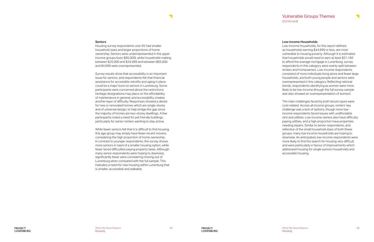#### <span id="page-7-0"></span>Seniors

Housing survey respondents over 65 had smaller household sizes and larger proportions of home ownership. Seniors were underrepresented in the upper income groups (over \$85,000), while households making between \$25,000 and \$34,999 and between \$65,000 and 84,999 were overrepresented.

Survey results show that accessibility is an important issue for seniors, and respondents felt that financial assistance for accessible retrofits and aging in place could be a major boon to seniors in Lunenburg. Some participants were concerned about the restrictions heritage designations may place on the affordability of maintenance in general, and accessibility creates another layer of difficulty. Responses showed a desire for new or renovated homes which are single-storey and of universal design, to help bridge the gap since the majority of homes are two-storey dwellings. A few participants noted a need for pet friendly buildings, particularly for senior renters wanting to stay active.

While fewer seniors felt that it is difficult to find housing, this age group may simply have fewer recent movers, considering the high proportion of home ownership. In contrast to younger respondents, the survey shows more seniors in need of a smaller housing option, while fewer faced difficulties paying property taxes. Although many senior respondents were hoping to downsize, significantly fewer were considering moving out of Lunenburg when compared with the full sample. This indicates a need for new housing within Lunenburg that is smaller, accessible and walkable.

 $\overline{\phantom{0}}$ 

#### Low-income Households

Low-income households, for this report defined as households earning \$44,999 or less, are most vulnerable to housing poverty. Although it is estimated that households would need to earn at least \$51,160 to afford the average mortgage in Lunenburg, survey respondents in this category were evenly split between renters and homeowners. Low-income respondents consisted of more individuals living alone and fewer large households, and both young people and seniors were overrepresented in this category. Reflecting national trends, respondents identifying as women were more likely to be low-income (though the full survey sample size also showed an overrepresentation of women).

The main challenges faced by both tenure types were cost-related. Across all income groups, renters' key challenge was a lack of options, though more lowincome respondents faced issues with unaffordable rent and utilities. Low-income owners also have difficulty paying utilities, and a high proportion have properties needing repairs. Similar to senior respondents, and reflective of the small household sizes of both these groups, many low-income households are hoping to downsize. As anticipated, low-income respondents were more likely to find the search for housing very difficult, and were particularly in favour of improvements which addressed housing for single-person households and accessible housing.

### Vulnerable Groups Themes (Continued)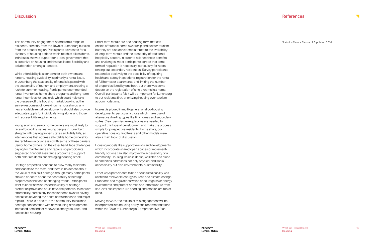<span id="page-8-0"></span>This community engagement heard from a range of residents, primarily from the Town of Lunenburg but also from the broader region. Participants advocated for a diversity of housing options within reach of all residents. Individuals showed support for a local government that is proactive on housing and that facilitates flexibility and collaboration among all sectors.

While affordability is a concern for both owners and renters, housing availability is primarily a rental issue. In Lunenburg the seasonality of rentals is paired with the seasonality of tourism and employment, creating a rush for summer housing. Participants recommended rental inventories, home share programs and long-term rental incentives for landlords which could help take the pressure off this housing market. Looking at the survey responses of lower-income households, any new affordable rental developments should also provide adequate supply for individuals living alone, and those with accessibility requirements.

Young adult and senior home owners are most likely to face affordability issues. Young people in Lunenburg struggle with paying property taxes and utility bills, so interventions that address affordable home ownership like rent-to-own could assist with some of these barriers. Senior home owners, on the other hand, face challenges paying for maintenance and repairs, so participants suggested financial assistance programs to support both older residents and the aging housing stock.

Heritage properties continue to draw many residents and tourists to the town, and there is no debate about the value of this built heritage, though many participants showed concern about the adaptability of heritage properties in the face of changing trends. Participants want to know how increased flexibility of heritage protection provisions could have the potential to improve affordability, particularly for senior home owners having difficulties covering the costs of maintenance and major repairs. There is a desire in the community to balance heritage conservation with new housing development, increased demand for renewable energy sources, and accessible housing.

Short-term rentals are one housing form that can enable affordable home ownership and bolster tourism, but they are also considered a threat to the availability of long-term rentals and the prosperity of traditional hospitality sectors. In order to balance these benefits and challenges, most participants agreed that some form of regulation is necessary, particularly for hosts renting out secondary residences. Survey participants responded positively to the possibility of requiring health and safety inspections, registration for the rental of full homes or apartments, and limiting the number of properties listed by one host, but there was some debate on the registration of single rooms in a home. Overall, participants felt it will be important for Lunenburg to put residents first, prioritizing housing over tourism accommodations.

Interest is piqued in multi-generational co-housing developments, particularly those which make use of alternative dwelling types like tiny homes and secondary suites. Clear, permissive regulations are needed to support this type of development and make the process simple for prospective residents. Home share, cooperative housing, land trusts and other models were also a main topic of discussion.

Housing models like supportive units and developments which incorporate shared open spaces or retirementfriendly options can also improve the accessibility of a community. Housing which is dense, walkable and close to amenities addresses not only physical and social accessibility but also environmental sustainability.

Other ways participants talked about sustainability was related to renewable energy sources and climate change. Standards and regulations which encourage solar energy investments and protect homes and infrastructure from sea level rise impacts like flooding and erosion are top of mind.

Moving forward, the results of this engagement will be incorporated into housing policy and recommendations within the Town of Lunenburg's Comprehensive Plan.

### **References**



Statistics Canada Census of Population, 2016.

What We Heard Report Housing